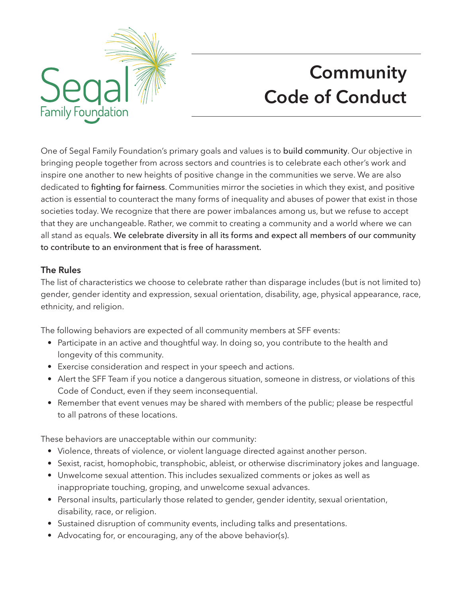

## **Community Code of Conduct**

One of Segal Family Foundation's primary goals and values is to build community. Our objective in bringing people together from across sectors and countries is to celebrate each other's work and inspire one another to new heights of positive change in the communities we serve. We are also dedicated to fighting for fairness. Communities mirror the societies in which they exist, and positive action is essential to counteract the many forms of inequality and abuses of power that exist in those societies today. We recognize that there are power imbalances among us, but we refuse to accept that they are unchangeable. Rather, we commit to creating a community and a world where we can all stand as equals. We celebrate diversity in all its forms and expect all members of our community to contribute to an environment that is free of harassment.

## **The Rules**

The list of characteristics we choose to celebrate rather than disparage includes (but is not limited to) gender, gender identity and expression, sexual orientation, disability, age, physical appearance, race, ethnicity, and religion.

The following behaviors are expected of all community members at SFF events:

- Participate in an active and thoughtful way. In doing so, you contribute to the health and longevity of this community.
- Exercise consideration and respect in your speech and actions.
- Alert the SFF Team if you notice a dangerous situation, someone in distress, or violations of this Code of Conduct, even if they seem inconsequential.
- Remember that event venues may be shared with members of the public; please be respectful to all patrons of these locations.

These behaviors are unacceptable within our community:

- Violence, threats of violence, or violent language directed against another person.
- Sexist, racist, homophobic, transphobic, ableist, or otherwise discriminatory jokes and language.
- Unwelcome sexual attention. This includes sexualized comments or jokes as well as inappropriate touching, groping, and unwelcome sexual advances.
- Personal insults, particularly those related to gender, gender identity, sexual orientation, disability, race, or religion.
- Sustained disruption of community events, including talks and presentations.
- Advocating for, or encouraging, any of the above behavior(s).